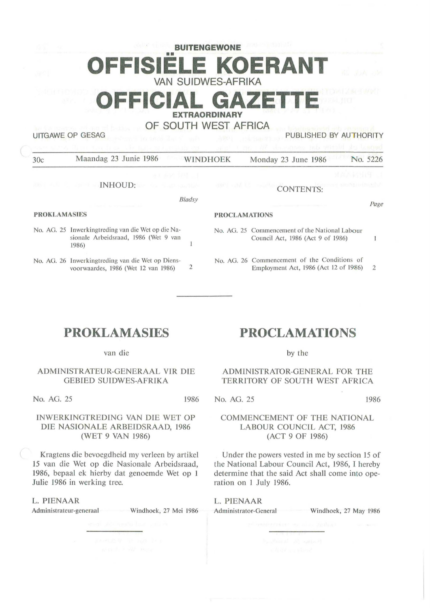# **BUITENGEWONE**  •• **OFFISIELE KOERANT VAN SUIDWES-AFRIKA**

**OFFICIAL GAZET** 

## **EXTRAORDINARY**

**OF SOUTH WEST AFRICA** 

UITGAWE OP GESAG PUBLISHED BY AUTHORITY

| 30c                        | Maandag 23 Junie 1986                                                                               | <b>WINDHOEK</b> |                      | No. 5226<br>Monday 23 June 1986                                                       |      |
|----------------------------|-----------------------------------------------------------------------------------------------------|-----------------|----------------------|---------------------------------------------------------------------------------------|------|
|                            | 通道 高級 関係 三十                                                                                         |                 |                      | 建设局经国与 1                                                                              |      |
| <b>READ ALBERTA ROLLER</b> | INHOUD:                                                                                             |                 |                      | <b>CONTENTS:</b><br>Increme monatorman                                                |      |
|                            |                                                                                                     | Bladsy          |                      |                                                                                       | Page |
| <b>PROKLAMASIES</b>        |                                                                                                     |                 | <b>PROCLAMATIONS</b> |                                                                                       |      |
|                            | No. AG. 25 Inwerkingtreding van die Wet op die Na-<br>sionale Arbeidsraad, 1986 (Wet 9 van<br>1986) |                 |                      | No. AG. 25 Commencement of the National Labour<br>Council Act, 1986 (Act 9 of 1986)   |      |
|                            | No. AG. 26 Inwerkingtreding van die Wet op Diens-<br>voorwaardes, 1986 (Wet 12 van 1986)            | 2               |                      | No. AG, 26 Commencement of the Conditions of<br>Employment Act, 1986 (Act 12 of 1986) | 2    |

# **PROKLAMASIES**

van die

### ADMINISTRATEUR-GENERAAL VIR DIE GEBIED SUIDWES-AFRIKA

No. AG. 25 1986

## INWERKINGTREDING VAN DIE WET OP DIE NASIONALE ARBEIDSRAAD, 1986 (WET 9 VAN 1986)

Kragtens die bevoegdheid my verleen by artikel 15 van die Wet op die Nasionale Arbeidsraad, 1986, bepaal ek hierby dat genoemde Wet op l Julie 1986 in werking tree.

L. PIENAAR

Administrateur-generaal Windhoek, 27 Mei 1986

## **PROCLAMATIONS**

by the

## ADMINISTRATOR-GENERAL FOR THE TERRITORY OF SOUTH WEST AFRICA

No. AG. 25 1986

## COMMENCEMENT OF THE NATIONAL LABOUR COUNCIL ACT, 1986 (ACT 9 OF 1986)

Under the powers vested in me by section 15 of the National Labour Council Act, 1986, I hereby determine that the said Act shall come into operation on 1 July 1986.

# L. **PIENAAR**

Administrator-General Windhoek, 27 May 1986